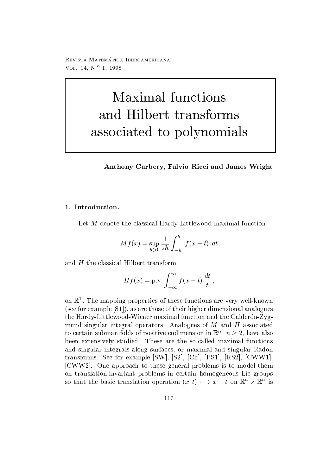reprisonal matematica - abbateonimbat ontara VOL  $14, N^{\circ}$  1, 1998

# Maximal functions and Hilbert transforms associated to polynomials

# Anthony Carbery- Fulvio Ricci and James Wright

# 1. Introduction.

 $\mathcal{H}$  denote the classical Hardy-denote the classical Hardy-denote the classical function  $\mathcal{H}$ 

$$
Mf(x) = \sup_{h>0} \frac{1}{2h} \int_{-h}^{h} |f(x - t)| dt
$$

and  $H$  the classical Hilbert transform

$$
Hf(x) = \text{p.v.} \int_{-\infty}^{\infty} f(x - t) \frac{dt}{t},
$$

on <sup>R</sup>- The mapping properties of these functions are very well-known  $s$  for example  $s$  ,  $s = 1, 1, 2, \ldots$  , the contract of the those of the those of the contract of the contract of the contract of the contract of the contract of the contract of the contract of the contract of the contra  $\mathcal{L}$ mund singular integral operators. Analogues of  $M$  and  $H$  associated to certain submanifolds of positive codimension in  $\mathbb{R}^n$ ,  $n \geq 2$ , have also been extensively studied These are the so-called maximal functions and singular integrals along surfaces or maximal and singular Radon transforms See for the state of the state of the state of the state of the state of the state of the state of t , cww. communication to the problems is to the contract the second them to the contract of the contract of the on translation-invariant problems in certain homogeneous Lie groups so that the basic translation operation  $(x,t) \mapsto x-t$  on  $\mathbb{R}^n \times \mathbb{R}^n$  is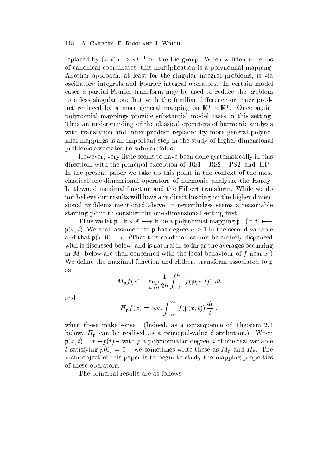replaced by  $(x,t) \mapsto x t^{-1}$  on the Lie group. When written in terms of canonical coordinates, this multiplication is a polynomial mapping. Another approach, at least for the singular integral problems, is via oscillatory integrals and Fourier integral operators In certain model cases a partial Fourier transform maybe used to reduce the problem to a less singular one but with the familiar difference or inner product replaced by a more general mapping on  $\mathbb{K}^n \times \mathbb{K}^n$ . Once again, polynomial mappings provide substantial model cases in this setting Thus an understanding of the classical operators of harmonic analysis with translation and inner product replaced by more general polynomial mappings is an important step in the study of higher dimensional problems associated to submanifolds

However, very little seems to have been done systematically in this direction with the principal exception of  $\mathbb R$  . The principal exception of  $\mathbb R$  is a set of  $\mathbb R$  is a set of  $\mathbb R$ In the present paper we take up this point in the context of the most classical one-dimensional operators of harmonic analysis the Hardy-Littlewood maximal function and the Hilbert transform While we do not believe our results will have any direct bearing on the higher dimensional problems mentioned above, it nevertheless seems a reasonable starting point to consider the one-dimensional setting rst

Thus we let  $\mathfrak{p} : \mathbb{K} \times \mathbb{K} \longrightarrow \mathbb{K}$  be a polynomial mapping  $\mathfrak{p} : (x, t) \longmapsto$  $\mathfrak{p}(x,t)$ . We shall assume that p has degree  $n \geq 1$  in the second variable and the particle of this condition cannot be entirely dispensed be entirely dispensed be entirely dispensed be with is discussed below, and is natural in so far as the averages occurring in  $M_{\mathfrak{p}}$  below are then concerned with the local behaviour of f near x.) We define the maximal function and Hilbert transform associated to p as

$$
M_{\mathfrak{p}}f(x) = \sup_{h>0} \frac{1}{2h} \int_{-h}^{h} |f(\mathfrak{p}(x,t))| dt
$$

and

$$
H_{\mathfrak{p}}f(x) = \text{p.v.} \int_{-\infty}^{\infty} f(\mathfrak{p}(x,t)) \frac{dt}{t},
$$

when these make sense. (Indeed, as a consequence of Theorem  $2.4$ value distribution as a primeral control of primeral primeral communication when the second providence of the communication of the communication of the communication of the communication of the communication of the communi  $\mathfrak{p}(x,t) = x - p(t) - w$  with p a polynomial of degree n of one real variable t satisfying  $p(0) = 0$  – we sometimes write these as  $M_p$  and  $H_p$ . The main ob ject of this paper is to begin to study the mapping properties of these operators

The principal results are as follows: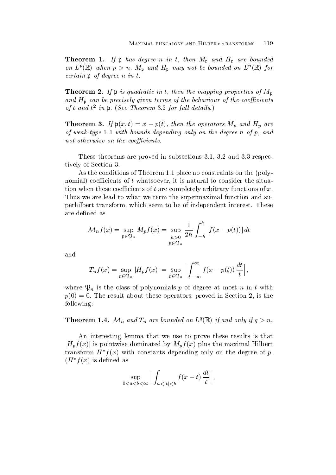$\mathcal{I} = \mathcal{I} = \mathcal{I} = \mathcal{I}$  produce the product are produced and  $\mathcal{I} = \mathcal{I}$  and  $\mathcal{I} = \mathcal{I}$  are bounded and on  $L^p(\mathbb{R})$  when  $p > n$ .  $M_p$  and  $H_p$  may not be bounded on  $L^p(\mathbb{R})$  for certain production products in the contract of the contract of the contract of the contract of the contract of

The measurem in the properties of the mapping properties of  $p$  properties of  $p$  and  $p$ and Hp can be precisely given terms of the behaviour of the coecients of the coefficients of the coecients of  $\mathcal{O}_I$  t and t  $\mathcal{U}$  in p. (See Theorem 5.2 for full details.)

**THEOREM 0.** If  $\mathfrak{p}(x,t) = x - \mathfrak{p}(t)$ , then the operators  $M_p$  and  $H_p$  are of weaktype with bounds depending only on the degree n of p and not otherwise on the coecients-coecients-

These theorems are proved in subsections  $3.1, 3.2$  and  $3.3$  respectively of Section

As the conditions of Theorem 1.1 place no constraints on the (polynomial) coefficients of  $t$  whatsoever, it is natural to consider the situation when these coefficients of  $t$  are completely arbitrary functions of  $x$ . Thus we are lead to what we term the supermaximal function and superhilbert transform, which seem to be of independent interest. These are defined as

$$
\mathcal{M}_n f(x) = \sup_{p \in \mathfrak{P}_n} M_p f(x) = \sup_{h > 0} \frac{1}{2h} \int_{-h}^h |f(x - p(t))| \, dt
$$
\n
$$
p \in \mathfrak{P}_n
$$

and

$$
T_n f(x) = \sup_{p \in \mathfrak{P}_n} |H_p f(x)| = \sup_{p \in \mathfrak{P}_n} \left| \int_{-\infty}^{\infty} f(x - p(t)) \, \frac{dt}{t} \right|,
$$

where  $\mathfrak{P}_n$  is the class of polynomials p of degree at most n in t with  $p(0) = 0$ . The result about these operators, proved in Section 2, is the following

**Theorem 1.4.**  $\mathcal{M}_n$  and  $T_n$  are bounded on  $L^q(\mathbb{R})$  if and only if  $q>n$ .

An interesting lemma that we use to prove these results is that  $|H_p f(x)|$  is pointwise dominated by  $M_p f(x)$  plus the maximal Hilbert transform  $H^* f(x)$  with constants depending only on the degree of p.  $(H^*f(x))$  is defined as

$$
\sup_{0  $\left| \int_{a<|t|,$
$$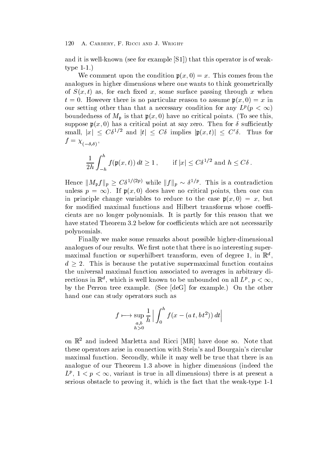and it is well-known see for example  $\Gamma$  . The sees for weak-this operator is of weak-this operator is of weaktype of the second contract of the second contract of the second contract of the second contract of the second of the second contract of the second contract of the second contract of the second contract of the second contr

 $\mathcal{W}$  comment up the condition product  $\mathcal{W}$  and  $\mathcal{W}$  are the components from the components of  $\mathcal{W}$ analogues in higher dimensions where one wants to think geometrically  $\mathbf{S}$  as for each xed x-as for each  $\mathbf{S}$  as for each  $\mathbf{S}$ there is no particular reason to assume particular reason to assume particular reason to assume particular reason to assume particular reason to assume particular reason to assume particular reason to assume particular re our setting other than that a necessary condition for any  $L^p(p<\infty)$ boundedness of Mp is that px- have no critical points To see this suppose parameters are a critical point at say  $\mathcal{S}$  at say  $\mathcal{S}$  at say  $\mathcal{S}$  at sample  $\mathcal{S}$  at sample  $\mathcal{S}$  at sample  $\mathcal{S}$  at sample  $\mathcal{S}$  at sample  $\mathcal{S}$  at sample  $\mathcal{S}$  at  $\mathcal{S}$  at  $\mathcal{$ small,  $|x| \leq C\delta^{1/2}$  and  $|t| \leq C\delta$  implies  $|\mathfrak{p}(x,t)| \leq C'\delta$ . Thus for  $\lambda$   $(-\delta, \delta)$ 

$$
\frac{1}{2h} \int_{-h}^{h} f(\mathfrak{p}(x,t)) dt \ge 1, \quad \text{if } |x| \le C\delta^{1/2} \text{ and } h \le C\delta.
$$

Hence  $||M_{\mathfrak{p}}f||_p \geq C\delta^{1/(2p)}$  while  $||f||_p \sim \delta^{1/p}$ . This is a contradiction unless  $p = \infty$ ). If  $\mathfrak{p}(x,0)$  does have no critical points, then one can in principle change variables to reduce to the case px- x- but for modified maximal functions and Hilbert transforms whose coefficients are no longer polynomials It is partly for this reason that we have stated Theorem 3.2 below for coefficients which are not necessarily polynomials

Finally we make some remarks about possible higher-dimensional analogues of our results. We first note that there is no interesting super $maxmin$ al function or superhibert transform, even of degree 1, in  $\mathbb R$  ,  $d > 2$ . This is because the putative supermaximal function contains the universal maximal function associated to averages in arbitrary directions in  $\mathbb{R}^n$ , which is well known to be unbounded on all  $L^p$ ,  $p < \infty$ , by the Perron tree example See and the other example See and the other tree example On the other tree on the o hand one can study operators such as

$$
f \longmapsto \sup_{\substack{a,b \\ h>0}} \frac{1}{h} \left| \int_0^h f(x - (a t, b t^2)) dt \right|
$$

on  $\mathbb R$  and indeed marietta and  $Riccl$   $|\mathtt{M}\mathtt{R}|$  have done so. Note that these operators arise in connection with Stein's and Bourgain's circular maximal function. Secondly, while it may well be true that there is an analogue of our Theorem 1.3 above in higher dimensions (indeed the  $L^p$ ,  $1 \leq p \leq \infty$ , variant is true in all dimensions) there is at present a serious obstacle to proving it which is the fact that the weak-type -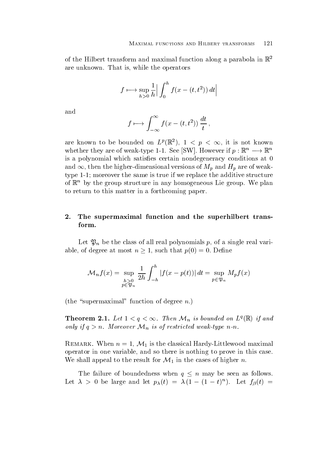of the Hilbert transform and maximal function along a parabola in  $\mathbb{R}^2$ are unknown. That is, while the operators

$$
f \mapsto \sup_{h>0} \frac{1}{h} \left| \int_0^h f(x - (t, t^2)) dt \right|
$$

and

$$
f \mapsto \int_{-\infty}^{\infty} f(x - (t, t^2)) \frac{dt}{t},
$$

are known to be bounded on  $L^p(\mathbb{R}^n)$ ,  $1 \leq p \leq \infty$ , it is not known whether they are of weak-type 1-1. See  $\vert SW \vert$ . However if  $p : \mathbb{K}^n \longrightarrow \mathbb{K}^n$ is a polynomial which satisfies certain nondegeneracy conditions at 0 and  $\infty$ , then the higher-dimensional versions of  $M_p$  and  $H_p$  are of weaktype - more than the same is true if we replace the same if we replace the additive structure structure structure structure structure structure structure structure structure structure structure structure structure structu of  $\mathbb{R}^n$  by the group structure in any homogeneous Lie group. We plan to return to this matter in a forthcoming paper

# 2. The supermaximal function and the superhilbert transform

 $\Box$  if the class of all polynomials polynomials polynomials polynomials polynomials polynomials probability  $\Box$ able, of degree at most  $n \geq 1$ , such that  $p(0) = 0$ . Define

$$
\mathcal{M}_n f(x) = \sup_{\substack{h>0\\p\in\mathfrak{P}_n}} \frac{1}{2h} \int_{-h}^h |f(x - p(t))| dt = \sup_{p\in\mathfrak{P}_n} M_p f(x)
$$

(the "supermaximal" function of degree  $n$ .)

**Theorem 2.1.** Let  $1 < q < \infty$ . Then  $\mathcal{M}_n$  is bounded on  $L^q(\mathbb{R})$  if and only if  $q > n$ . Moreover  $\mathcal{M}_n$  is of restricted weak-type n-n.

REMARK. When  $n = 1, \mathcal{M}_1$  is the classical Hardy-Littlewood maximal operator in one variable, and so there is nothing to prove in this case We shall appeal to the result for  $\mathcal{M}_1$  in the cases of higher n.

The failure of boundedness when  $q \leq n$  may be seen as follows. Let  $\lambda > 0$  be large and let  $p_{\lambda}(t) = \lambda (1 - (1 - t)^{\alpha})$ . Let  $f_{\beta}(t) =$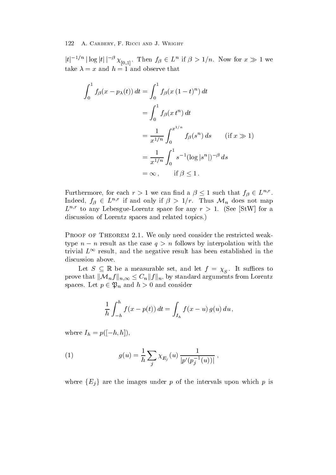$|t|^{-1/n} |\log |t| |^{-\beta} \chi_{[0,1]}$ . Then  $f_\beta \in L^n$  if  $\beta > 1/n$ . Now for  $x \gg 1$  we take  $\lambda = x$  and  $h = 1$  and observe that

$$
\int_0^1 f_\beta(x - p_\lambda(t)) dt = \int_0^1 f_\beta(x (1 - t)^n) dt
$$
  
= 
$$
\int_0^1 f_\beta(x t^n) dt
$$
  
= 
$$
\frac{1}{x^{1/n}} \int_0^{x^{1/n}} f_\beta(s^n) ds \qquad \text{(if } x \gg 1\text{)}
$$
  
= 
$$
\frac{1}{x^{1/n}} \int_0^1 s^{-1} (\log |s^n|)^{-\beta} ds
$$
  
= 
$$
\infty, \qquad \text{if } \beta \le 1.
$$

Furthermore, for each  $r > 1$  we can find a  $\beta \leq 1$  such that  $f_{\beta} \in L^{n,r}$ . Indeed,  $f_{\beta} \in L^{n,r}$  if and only if  $\beta > 1/r$ . Thus  $\mathcal{M}_n$  does not map  $L$   $\rightarrow$  to any Lebesgue-Lorentz space for any  $r$   $>$  1. (See StW for a discussion of Lorentz spaces and related topics.)

Proof of Theorem -- We only need consider the restricted weaktype  $n - n$  result as the case  $q \geq n$  follows by interpolation with the trivial  $L^{\infty}$  result, and the negative result has been established in the discussion above.

Let  $S \subseteq \mathbb{R}$  be a measurable set, and let  $f = \chi_{S}$ . It suffices to prove that  $\|\mathcal{M}_n f\|_{n,\infty} \leq C_n \|f\|_n,$  by standard arguments from Lorentz spaces. Let  $p \in \mathfrak{P}_n$  and  $h > 0$  and consider

$$
\frac{1}{h} \int_{-h}^{h} f(x - p(t)) dt = \int_{I_h} f(x - u) g(u) du,
$$

where  $I_h - p_1 - u, n_1$ ,

(1) 
$$
g(u) = \frac{1}{h} \sum_{j} \chi_{E_j}(u) \frac{1}{|p'(p_j^{-1}(u))|},
$$

where  ${E_i}$  are the images under p of the intervals upon which p is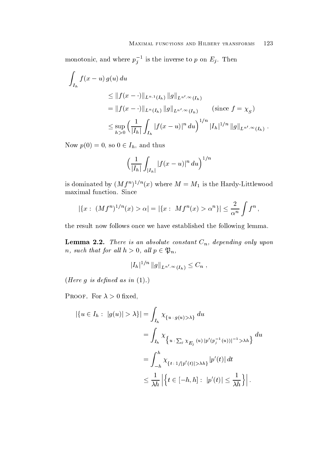monotonic, and where  $p_i^{-1}$  is the  $\frac{1}{1}$  is the inverse to p on Eq inverse to p on Eq inverse to p on Eq inverse to p on Eq inverse to p on Eq inverse to p on Eq inverse to p on Eq inverse to p on Eq inverse to p on Eq inverse to p on Eq inverse to p o

$$
\int_{I_h} f(x - u) g(u) du
$$
\n
$$
\leq ||f(x - \cdot)||_{L^{n,1}(I_h)} ||g||_{L^{n',\infty}(I_h)}
$$
\n
$$
= ||f(x - \cdot)||_{L^{n}(I_h)} ||g||_{L^{n',\infty}(I_h)} \qquad \text{(since } f = \chi_S\text{)}
$$
\n
$$
\leq \sup_{h>0} \left(\frac{1}{|I_h|} \int_{I_h} |f(x - u)|^n du\right)^{1/n} |I_h|^{1/n} ||g||_{L^{n',\infty}(I_h)}.
$$

Now  $p(0) = 0$ , so  $0 \in I_h$ , and thus

$$
\Big(\frac{1}{|I_h|}\int_{|I_h|}|f(x-u)|^n\,du\Big)^{1/n}
$$

is dominated by  $(Mf)$   $''$  (x) where  $M = M_1$  is the Hardy-Littlewood maximal function. Since

$$
|\{x:\ (Mf^{n})^{1/n}(x) > \alpha| = |\{x:\ Mf^{n}(x) > \alpha^{n}\}| \leq \frac{2}{\alpha^{n}} \int f^{n},
$$

the result now follows once we have established the following lemma

**Lemma 2.2.** There is an absolute constant  $C_n$ , depending only upon n, such that for all  $h > 0$ , all  $p \in \mathfrak{P}_n$ ,

$$
|I_h|^{1/n} \|g\|_{L^{n',\infty}(I_h)} \leq C_n ,
$$

Here g is dened as in -

 $\mathbf{F} = \mathbf{F} \mathbf{F} \mathbf{F}$  and  $\mathbf{F} = \mathbf{F} \mathbf{F} \mathbf{F}$  and  $\mathbf{F} = \mathbf{F} \mathbf{F} \mathbf{F}$ 

$$
\begin{aligned} |\{u \in I_h : |g(u)| > \lambda\}| &= \int_{I_h} \chi_{\{u \,:\, g(u) > \lambda\}} \, du \\ &= \int_{I_h} \chi_{\{u \,:\, \sum_j \chi_{E_j}(u) \,|p'(p_j^{-1}(u))|^{-1} > \lambda h\}} \, du \\ &= \int_{-h}^h \chi_{\{t \,:\, 1/|p'(t)| > \lambda h\}} |p'(t)| \, dt \\ &\leq \frac{1}{\lambda h} \left| \left\{ t \in [-h, h] : |p'(t)| \leq \frac{1}{\lambda h} \right\} \right|. \end{aligned}
$$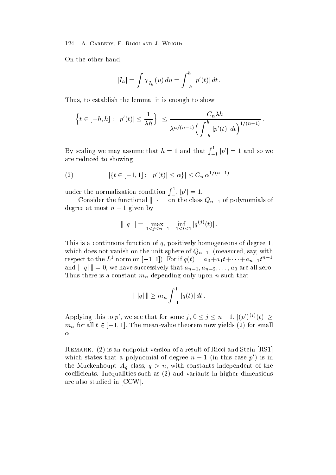On the other hand

$$
|I_h| = \int \chi_{I_h}(u) \, du = \int_{-h}^h |p'(t)| \, dt \, .
$$

Thus, to establish the lemma, it is enough to show

$$
\left|\left\{t\in[-h,h]:\ |p'(t)|\leq\frac{1}{\lambda h}\right\}\right|\leq\frac{C_n\lambda h}{\lambda^{n/(n-1)}\Big(\int_{-h}^h|p'(t)|\,dt\Big)^{1/(n-1)}}.
$$

By scaling we may assume that  $h = 1$  and that  $\int_{-1}^{1} |p'| =$  $\binom{1}{-1}$   $|p'| = 1$  and so we are reduced to showing

(2) 
$$
|\{t \in [-1,1] : |p'(t)| \le \alpha\}| \le C_n \alpha^{1/(n-1)}
$$

under the normalization condition  $\int_{-1}^{1} |p'| =$  $\binom{1}{-1}$   $|p'| = 1$ .

Consider the functional  $\|\cdot\|$  on the class  $Q_{n-1}$  of polynomials of degree at most  $n - 1$  given by

$$
\| |q| \| = \max_{0 \le j \le n-1} \inf_{-1 \le t \le 1} |q^{(j)}(t)|.
$$

This is a continuous function of q- positively homogeneous of degree which does not vanish on the unit sphere of  $q_n = 1$ , (inclusively say), with respect to the  $L^1$  norm on  $|-1,1|$ ). For if  $q(t) = a_0 + a_1t + \cdots + a_{n-1}t^{n-1}$ and  $||q|| = 0$ , we have successively that  $a_{n-1}, a_{n-2}, \ldots, a_0$  are all zero. Thus there is a constant  $m_n$  depending only upon n such that

$$
\| |q| \| \geq m_n \int_{-1}^1 |q(t)| dt .
$$

Applying this to p', we see that for some  $j, 0 \le j \le n-1, |(p')^{(j)}(t)| \ge$  $m_n$  for all  $t \in [-1,1]$ . The mean-value theorem now yields (2) for small  $\alpha$ .

remark-sendon ( = ) and steed point of a result of Ricci and Stein and Stein Stein ( - ) and  $\Gamma$ which states that a polynomial of degree  $n-1$  (in this case  $p'$ ) is in the Muckenhoupt  $A_q$  class,  $q > n$ , with constants independent of the coefficients. Inequalities such as  $(2)$  and variants in higher dimensions are also studied in the contract of the contract of the contract of the contract of the contract of the contract of the contract of the contract of the contract of the contract of the contract of the contract of the contra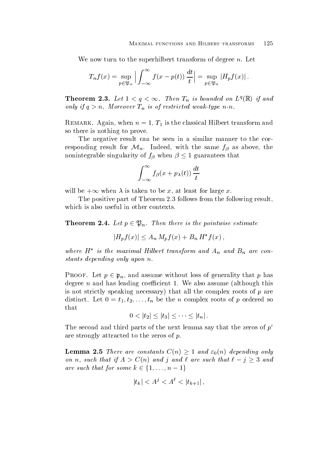We now turn to the superhilbert transform of degree  $n$ . Let

$$
T_n f(x) = \sup_{p \in \mathfrak{P}_n} \left| \int_{-\infty}^{\infty} f(x - p(t)) \, \frac{dt}{t} \right| = \sup_{p \in \mathfrak{P}_n} \left| H_p f(x) \right|.
$$

**Theorem 2.3.** Let  $1 < q < \infty$ . Then  $I_n$  is bounded on  $L^q(\mathbb{R})$  if and only if qualitated weaken the figure Times of the contract weak the specific three contracts were not the contract of the contract of the contract of the contract of the contract of the contract of the contract of the cont

 $\begin{array}{cccc} \text{A} & \text{B} & \text{C} \end{array}$  is the classical Hilbert transform and  $\begin{array}{cccc} \text{A} & \text{A} & \text{A} & \text{A} \end{array}$ so there is nothing to prove

The negative result can be seen in a similar manner to the corresponding result for  $\mathcal{M}_n$ . Indeed, with the same  $f_\beta$  as above, the nonintegrable singularity of  $f_\beta$  when  $\beta \leq 1$  guarantees that

$$
\int_{-\infty}^{\infty} f_{\beta}(x+p_{\lambda}(t)) \, \frac{dt}{t}
$$

will be  $+\infty$  when  $\lambda$  is taken to be x, at least for large x.<br>The positive part of Theorem 2.3 follows from the following result, which is also useful in other contexts.

**Theorem 2.4.** Let  $p \in \mathfrak{P}_n$ . Then there is the pointwise estimate

$$
|H_p f(x)| \le A_n M_p f(x) + B_n H^* f(x) ,
$$

where  $H^*$  is the maximal Hilbert transform and  $A_n$  and  $B_n$  are constants depending only upon n

PROOF. Let  $p \in \mathfrak{p}_n$ , and assume without loss of generality that p has degree  $n$  and has leading coefficient 1. We also assume (although this is not strictly speaking necessary) that all the complex roots of  $p$  are distinct Let t-- t--tn be the <sup>n</sup> complex roots of <sup>p</sup> ordered so that

$$
0 < |t_2| \le |t_3| \le \cdots \le |t_n|.
$$

The second and third parts of the next lemma say that the zeros of  $p'$ are strongly attracted to the zeros of  $p$ .

**Lemma 2.5** There are constants  $C(n) \geq 1$  and  $\varepsilon_0(n)$  depending only on n, such that if  $A > C(n)$  and j and l are such that  $\ell - j \geq 3$  and are such that for some  $k \in \{1, \ldots, n-1\}$ 

$$
|t_k| < A^j < A^{\ell} < |t_{k+1}| \,,
$$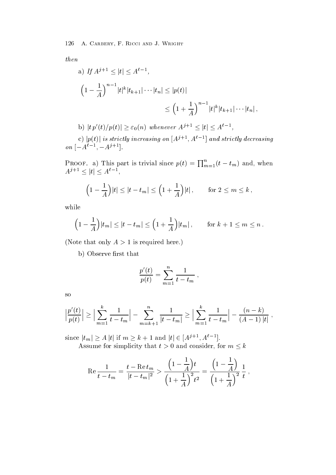then

a) If 
$$
A^{j+1} \le |t| \le A^{\ell-1}
$$
,  
\n
$$
\left(1 - \frac{1}{A}\right)^{n-1} |t|^k |t_{k+1}| \cdots |t_n| \le |p(t)|
$$
\n
$$
\le \left(1 + \frac{1}{A}\right)^{n-1} |t|^k |t_{k+1}| \cdots |t_n|,
$$

b) 
$$
|tp'(t)/p(t)| \geq \varepsilon_0(n)
$$
 whenever  $A^{j+1} \leq |t| \leq A^{\ell-1}$ ,

c)  $\left\vert p(t)\right\vert$  is strictly increasing on  $[A^{j+1},A^{\ell-1}]$  and strictly decreasing  $\left[ \begin{array}{c} \n 0n \\ -A^{t-1} \\ -A^{t-1} \end{array} \right]$ .

. .

**PROOF.** a) This part is trivial since  $p(t) = \prod_{m=1}^{n} (t - t_m)$  and, when  $A^{j+1} \leq |t| \leq A^{\ell-1},$ 

$$
\left(1 - \frac{1}{A}\right)|t| \le |t - t_m| \le \left(1 + \frac{1}{A}\right)|t| \,, \qquad \text{for } 2 \le m \le k \,,
$$

while

$$
\left(1 - \frac{1}{A}\right)|t_m| \le |t - t_m| \le \left(1 + \frac{1}{A}\right)|t_m| \,, \qquad \text{for } k + 1 \le m \le n \,.
$$

(Note that only  $A > 1$  is required here.)

b) Observe first that

$$
\frac{p'(t)}{p(t)} = \sum_{m=1}^{n} \frac{1}{t - t_m} ,
$$

so

$$
\left|\frac{p'(t)}{p(t)}\right| \ge \left|\sum_{m=1}^k \frac{1}{t - t_m}\right| - \sum_{m=k+1}^n \frac{1}{|t - t_m|} \ge \left|\sum_{m=1}^k \frac{1}{t - t_m}\right| - \frac{(n-k)}{(A-1)|t|},
$$

since  $|t_m| \ge A |t|$  if  $m \ge k + 1$  and  $|t| \in [A^{j+1}, A^{k-1}]$ . Assume for simplicity that  $t > 0$  and consider, for  $m \leq k$ 

$$
\operatorname{Re} \frac{1}{t - t_m} = \frac{t - \operatorname{Re} t_m}{|t - t_m|^2} > \frac{\left(1 - \frac{1}{A}\right)t}{\left(1 + \frac{1}{A}\right)^2 t^2} = \frac{\left(1 - \frac{1}{A}\right)}{\left(1 + \frac{1}{A}\right)^2} \frac{1}{t},
$$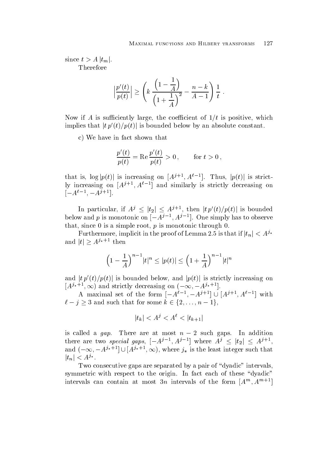since  $t > A |t_m|$ . Therefore

$$
\left|\frac{p'(t)}{p(t)}\right| \ge \left(k\ \frac{\left(1-\frac{1}{A}\right)}{\left(1+\frac{1}{A}\right)^2}-\frac{n-k}{A-1}\right)\frac{1}{t}.
$$

Now if A is suciently large the coecient of t is positive which implies that  $|tp'(t)/p(t)|$  is bounded below by an absolute constant.

c) We have in fact shown that

$$
\frac{p'(t)}{p(t)} = \text{Re}\,\frac{p'(t)}{p(t)} > 0\,, \qquad \text{for } t > 0\,,
$$

that is,  $\log |p(t)|$  is increasing on  $[A^{j+1}, A^{l-1}]$ . Thus,  $|p(t)|$  is strictly increasing on  $|A^{j+1}, A^{i-1}|$  and similarly is strictly decreasing on  $|-A^{i-1}, -A^{j+1}|$ 

In particular, if  $A^j \leq |t_2| \leq A^{j+1}$ , then  $|t p'(t)/p(t)|$  is bounded below and p is monotonic on  $\left[-A^{j-1}, A^{j-1}\right]$ . One simply has to observe that, since  $\theta$  is a simple root,  $p$  is monotonic through  $\theta$ .

Furthermore, implicit in the proof of Lemma 2.5 is that if  $|t_n| < A^{j*}$ and  $|t| \geq A^{j_*+1}$  then

$$
\left(1 - \frac{1}{A}\right)^{n-1} |t|^n \le |p(t)| \le \left(1 + \frac{1}{A}\right)^{n-1} |t|^n
$$

and  $|t\, p'(t)/p(t)|$  is bounded below, and  $|p(t)|$  is strictly increasing on  $\left[ A^{j*+1},\infty\right)$  and strictly decreasing on  $(-\infty,-A^{j*+1})$ 

A maximal set of the form  $|-A^{t-1}, -A^{j+1}| \cup |A^{j+1}, A^{t-1}|$  with  $\ell - j \geq 3$  and such that for some  $k \in \{2, \ldots, n - 1\},\$ 

$$
|t_k| < A^j < A^\ell < |t_{k+1}|
$$

is called a  $yap$ . There are at most  $n = 2$  such gaps. In addition there are two special gaps,  $[-A^{j-1}, A^{j-1}]$  where  $A^j \leq |t_2| \leq A^{j+1}$ , and  $(-\infty, -A^{j_*+1} \cup |A^{j_*+1}, \infty)$ , where  $j_*$  is the least integer such that  $|t_n| < A^{j_*}.$ 

Two consecutive gaps are separated by a pair of "dyadic" intervals, symmetric with respect to the origin. In fact each of these "dyadic" intervals can contain at most  $5n$  intervals of the form  $\vert A^m,A^{m+1} \vert$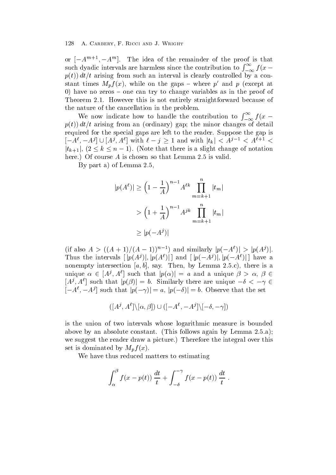or  $|-A$  ,  $-A$  , the idea of the remainder of the proof is that such dyadic intervals are harmless since the contribution to  $\int_{-\infty}^{\infty} f(x$ pt dt t arising from such an interval is clearly controlled by a constant times  $M_p f(x)$ , while on the gaps – where p' and p (except at 0) have no zeros  $-$  one can try to change variables as in the proof of Theorem 2.1. However this is not entirely straightforward because of the nature of the cancellation in the problem

We now indicate how to handle the contribution to  $\int_{-\infty}^{\infty} f(x$ pt dt t arising from an ordinary gap the minor changes of detail required for the special gaps are left to the reader. Suppose the gap is  $[-A^{\ell}, -A^{\jmath}] \cup [A^{\jmath}, A^{\ell}]$  with  $\ell - j \geq 1$  and with  $|t_k| < A^{\jmath - 1} < A^{\ell + 1}$  $|t_{k+1}|, (2 \leq k \leq n-1)$ . (Note that there is a slight change of notation here.) Of course  $A$  is chosen so that Lemma 2.5 is valid.

By part a) of Lemma  $2.5$ .

$$
|p(A^{\ell})| \ge \left(1 - \frac{1}{A}\right)^{n-1} A^{\ell k} \prod_{m=k+1}^{n} |t_m|
$$
  
>  $\left(1 + \frac{1}{A}\right)^{n-1} A^{jk} \prod_{m=k+1}^{n} |t_m|$   
 $\ge |p(-A^j)|$ 

(if also  $A > ((A + 1)/(A - 1))^{n-1}$ ) and similarly  $|p(-A^{\ell})| > |p(A^{\ell})|$ . Thus the intervals  $[ |p(A^j)|, |p(A^{\ell})| ]$  and  $[ |p(-A^j)|, |p(-A^{\ell})| ]$  have a nonempty intersection in the same control of the same control of the same control of the same control of the s unique  $\alpha \in [A^{\jmath}, A^{\ell}]$  such that  $|p(\alpha)| = a$  and a unique  $\beta > \alpha, \beta \in$  $[A^j, A^l]$  such that  $|p(\beta)| = b$ . Similarly there are unique  $-\delta < -\gamma \in$  $[-A^{\ell}, -A^{\jmath}]$  such that  $|p(-\gamma)| = a$ ,  $|p(-\delta)| = b$ . Observe that the set

$$
([A^j, A^{\ell}]\backslash[\alpha, \beta]) \cup ([-A^{\ell}, -A^j]\backslash[-\delta, -\gamma])
$$

is the union of two intervals whose logarithmic measure is bounded above by an absolute constant. (This follows again by Lemma  $2.5.a$ ); we suggest the reader draw a picture.) Therefore the integral over this set is dominated by  $M_p f(x)$ .

We have thus reduced matters to estimating

$$
\int_{\alpha}^{\beta} f(x - p(t)) \frac{dt}{t} + \int_{-\delta}^{-\gamma} f(x - p(t)) \frac{dt}{t} .
$$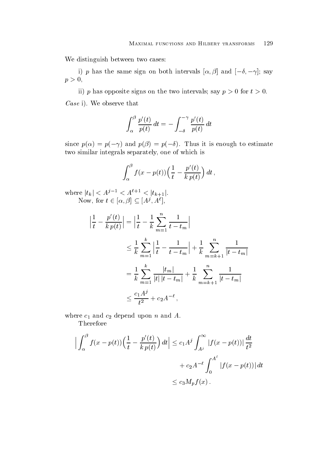We distinguish between two cases:

I)  $\rho$  has the same sign on both intervals  $\alpha, \beta$  and  $\lceil -\sigma, -\gamma \rceil$ , say  $p>0,$ 

ii) p has opposite signs on the two intervals; say  $p > 0$  for  $t > 0$ . Case Case is the community of the community of the community of the community of the community of the community of the community of the community of the community of the community of the community of the community of the c

$$
\int_{\alpha}^{\beta} \frac{p'(t)}{p(t)} dt = -\int_{-\delta}^{-\gamma} \frac{p'(t)}{p(t)} dt
$$

since  $p(\alpha) = p(-\gamma)$  and  $p(\beta) = p(-\gamma)$ . Thus it is enough to estimate two similar integrals separately, one of which is

$$
\int_{\alpha}^{\beta} f(x - p(t)) \left(\frac{1}{t} - \frac{p'(t)}{k p(t)}\right) dt,
$$

where  $|t_k| < A^{j-1} < A^{\ell+1} < |t_{k+1}|$ . Now, for  $t \in [\alpha, \beta] \subseteq [A^{\jmath}, A^{\iota}],$ 

$$
\left|\frac{1}{t} - \frac{p'(t)}{kp(t)}\right| = \left|\frac{1}{t} - \frac{1}{k}\sum_{m=1}^{n} \frac{1}{t - t_m}\right|
$$
  
\n
$$
\leq \frac{1}{k} \sum_{m=1}^{k} \left|\frac{1}{t} - \frac{1}{t - t_m}\right| + \frac{1}{k} \sum_{m=k+1}^{n} \frac{1}{|t - t_m|}
$$
  
\n
$$
= \frac{1}{k} \sum_{m=1}^{k} \frac{|t_m|}{|t| |t - t_m|} + \frac{1}{k} \sum_{m=k+1}^{n} \frac{1}{|t - t_m|}
$$
  
\n
$$
\leq \frac{c_1 A^j}{t^2} + c_2 A^{-\ell},
$$

where c- and c depend upon <sup>n</sup> and A

Therefore

$$
\left| \int_{\alpha}^{\beta} f(x - p(t)) \left( \frac{1}{t} - \frac{p'(t)}{k p(t)} \right) dt \right| \leq c_1 A^j \int_{A^j}^{\infty} |f(x - p(t))| \frac{dt}{t^2}
$$

$$
+ c_2 A^{-\ell} \int_{0}^{A^{\ell}} |f(x - p(t))| dt
$$

$$
\leq c_3 M_p f(x) .
$$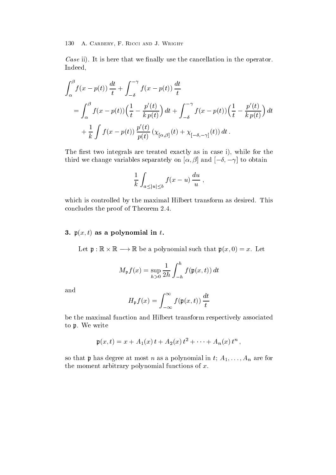Case is the first measure that we naturally user that cancellation in the case of production in the operator Indeed

$$
\int_{\alpha}^{\beta} f(x - p(t)) \frac{dt}{t} + \int_{-\delta}^{-\gamma} f(x - p(t)) \frac{dt}{t}
$$
\n
$$
= \int_{\alpha}^{\beta} f(x - p(t)) \left(\frac{1}{t} - \frac{p'(t)}{kp(t)}\right) dt + \int_{-\delta}^{-\gamma} f(x - p(t)) \left(\frac{1}{t} - \frac{p'(t)}{kp(t)}\right) dt
$$
\n
$$
+ \frac{1}{k} \int f(x - p(t)) \frac{p'(t)}{p(t)} \left(\chi_{[\alpha,\beta]}(t) + \chi_{[-\delta,-\gamma]}(t)\right) dt.
$$

The first two integrals are treated exactly as in case i), while for the  $\lim_{\alpha \to 0} \alpha$  change variables separately on  $\alpha, \beta$  and  $\{-\alpha, -\gamma\}$  to obtain

$$
\frac{1}{k}\int_{a\leq |u|\leq b} f(x-u)\,\frac{du}{u}\;,
$$

which is controlled by the maximal Hilbert transform as desired. This concludes the proof of Theorem

# $\bf{r}$  ,  $\bf{r}$  as a polynomial in the polynomial in the set of  $\bf{r}$

Let  $\mathfrak{p} : \mathbb{K} \times \mathbb{K} \longrightarrow \mathbb{K}$  be a polynomial such that  $\mathfrak{p}(x, 0) = x$ . Let

$$
M_{\mathfrak{p}}f(x) = \sup_{h>0} \frac{1}{2h} \int_{-h}^{h} f(\mathfrak{p}(x,t)) dt
$$

and

$$
H_{\mathfrak{p}}f(x) = \int_{-\infty}^{\infty} f(\mathfrak{p}(x,t)) \, \frac{dt}{t}
$$

be the maximal function and Hilbert transform respectively associated to p. We write

$$
\mathfrak{p}(x,t) = x + A_1(x) t + A_2(x) t^2 + \cdots + A_n(x) t^n ,
$$

so that <sup>p</sup> has degree at most n as a polynomial in t A---An are for the moment arbitrary polynomial functions of  $x$ .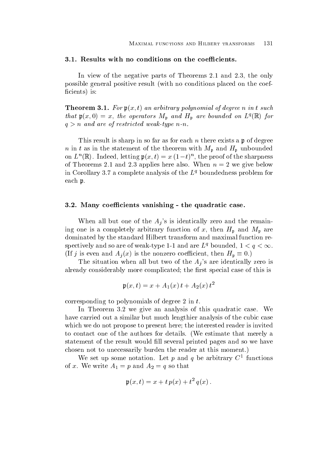In view of the negative parts of Theorems  $2.1$  and  $2.3$ , the only possible general positive result with no conditions placed on the coefficients) is:

**Incording ...** For  $\mathfrak{p}(x, v)$  and arbitrary polynomial of degree n in t such that  $\mathfrak{p}(x, 0) = x$ , the operators  $M_{\mathfrak{p}}$  and  $H_{\mathfrak{p}}$  are bounded on  $L^2(\mathbb{R})$  for  $q>n$  and are of restricted weak-type n-n.

This result is sharp in so far as for each n there exists a  $\mathfrak p$  of degree n in t as in the statement of the theorem with  $M_{\rm p}$  and  $H_{\rm p}$  unbounded on  $L$  (in). Indeed, letting  $\mathfrak{p}(x,t) = x(1-t)$  , the proof of the sharpness of Theorems 2.1 and 2.3 applies here also. When  $n = 2$  we give below in Corollary 3.7 a complete analysis of the  $L<sup>q</sup>$  boundedness problem for each p

### $\mathcal{N}$  coefficients vanishing  $\mathcal{N}$

When all but one of the  $A_i$ 's is identically zero and the remaining one is a complete arbitrary function of  $\mathbf{u}$ dominated by the standard Hilbert transform and maximal function respectively and so are of weak-type 1-1 and are  $L_4$  bounded,  $1 \leq q \leq \infty$ . (If j is even and  $A_i(x)$  is the nonzero coefficient, then  $H_p \equiv 0$ .)

The situation when all but two of the  $A_i$ 's are identically zero is already considerably more complicated; the first special case of this is

$$
\mathfrak{p}(x,t) = x + A_1(x) t + A_2(x) t^2
$$

corresponding to polynomials of degree  $2$  in  $t$ .

In Theorem  $3.2$  we give an analysis of this quadratic case. We have carried out a similar but much lengthier analysis of the cubic case which we do not propose to present here; the interested reader is invited to contact one of the authors for details. (We estimate that merely a statement of the result would fill several printed pages and so we have chosen not to unecessarily burden the reader at this moment

We set up some notation. Let  $p$  and  $q$  be arbitrary C- functions  $\mathbb{R}$  and  $\mathbb{R}$  with  $\mathbb{R}$  and  $\mathbb{R}$  and  $\mathbb{R}$  and  $\mathbb{R}$  and  $\mathbb{R}$  and  $\mathbb{R}$  and  $\mathbb{R}$  and  $\mathbb{R}$  and  $\mathbb{R}$  and  $\mathbb{R}$  and  $\mathbb{R}$  and  $\mathbb{R}$  and  $\mathbb{R}$  and  $\mathbb{R}$  and  $\mathbb{R}$  and

$$
\mathfrak{p}(x,t) = x + t p(x) + t^2 q(x).
$$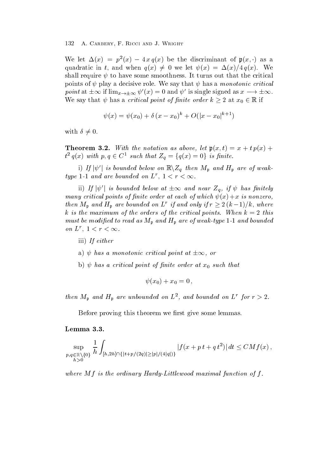we let  $\Delta(x) = p(x) - 4xq(x)$  be the discriminant of  $p(x, \cdot)$  as a quadratic in t, and when  $q(x) \neq 0$  we let  $\psi(x) = \Delta(x)/4 q(x)$ . We shall require  $\psi$  to have some smoothness. It turns out that the critical points of  $\psi$  play a decisive role. We say that  $\psi$  has a monotonic critical point at  $\pm \infty$  if  $\lim_{x\to\pm\infty} \psi'(x) = 0$  and  $\psi'$  is single signed as  $x \to \pm\infty$ . We say that  $\psi$  has a *critical point of finite order*  $k \geq 2$  at  $x_0 \in \mathbb{R}$  if

$$
\psi(x) = \psi(x_0) + \delta (x - x_0)^k + O(|x - x_0|^{k+1})
$$

with  $\delta \neq 0$ .

Theorem With the notation as above let px- t x t px  $t^2 q(x)$  with  $p, q \in C^1$  such that  $Z_q = \{q(x) = 0\}$  is finite.

i) If  $|\psi'|$  is bounded below on  $\mathbb{R}\backslash Z_q$  then  $M_p$  and  $H_p$  are of weaktype 1-1 and are bounded on  $L'$ ,  $1 < r < \infty$ .

ii) If  $|\psi'|$  is bounded below at  $\pm \infty$  and near  $Z_q$ , if  $\psi$  has finitely  $m$  is a critical points of nite of act at each of which  $v$  is  $r$  is nonzero. then  $M_{\mathbf{p}}$  and  $H_{\mathbf{p}}$  are bounded on  $L^r$  if and only if  $r \geq 2(k-1)/k$ , where k is the maximum of the orders of the critical points- When k this  $m$ ust be modified to read as  $m_p$  and  $m_p$  are of weak-type 1-1 and bounded on  $L$ ,  $1 \leq r \leq \infty$ .

- iii) If either
- a)  $\psi$  has a monotonic critical point at  $\pm \infty$ , or
- b)  $\psi$  has a critical point of finite order at  $x_0$  such that

$$
\psi(x_0)+x_0=0\,,
$$

then  $M_{\mathfrak{p}}$  and  $\mathbf{\Pi}_{\mathfrak{p}}$  are unbounded on  $L^2$ , and bounded on  $L^2$  for  $r > 2$ .

Before proving this theorem we first give some lemmas.

# Lemma 3.3.

$$
\sup_{\substack{p,q\in\mathbb{R}\setminus\{0\} \\ h>0}} \frac{1}{h} \int_{[h,2h]\cap\{|t+p/(2q)|\geq |p|/(4|q|)\}} |f(x+pt+q\,t^2)|\,dt \leq CMf(x)\,,
$$

where  $\mathbf{m}$  is the ordinary HardyLittlewood maximal function of fr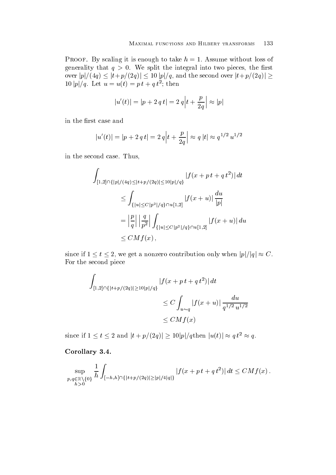Proof- By scaling it is enough to take h Assume without loss of generality that  $q > 0$ . We split the integral into two pieces, the first over  $|p|/(4q) \leq |t+p/(2q)| \leq 10~|p|/q,$  and the second over  $|t+p/(2q)| \geq 1$ 10  $|p|/q$ . Let  $u = u(t) = p t + q t^2$ ; then

$$
|u'(t)| = |p + 2 q t| = 2 q |t + \frac{p}{2q}| \approx |p|
$$

in the first case and

$$
|u'(t)| = |p + 2 q t| = 2 q |t + \frac{p}{2q}| \approx q |t| \approx q^{1/2} u^{1/2}
$$

in the second case. Thus,

$$
\int_{[1,2]\cap\{|p|/(4q)\leq |t+p/(2q)|\leq 10|p|/q\}} |f(x+pt+qt^2)| dt
$$
\n
$$
\leq \int_{\{|u|\leq C|p^2|/q\}\cap u[1,2]} |f(x+u)| \frac{du}{|p|}
$$
\n
$$
= \left|\frac{p}{q}\right| \left|\frac{q}{p^2}\right| \int_{\{|u|\leq C|p^2|/q\}\cap u[1,2]} |f(x+u)| du
$$
\n
$$
\leq CMf(x),
$$

since if  $1 \leq t \leq 2$ , we get a nonzero contribution only when  $|p|/|q| \approx C$ . For the second piece

$$
\int_{[1,2]\cap\{|t+p/(2q)|\geq 10|p|/q\}} |f(x+pt+qt^2)| dt
$$
  
\n
$$
\leq C \int_{u\sim q} |f(x+u)| \frac{du}{q^{1/2}u^{1/2}}
$$
  
\n
$$
\leq CM f(x)
$$

since if  $1 \leq t \leq 2$  and  $|t + p/(2q)| \geq 10|p|/q$ then  $|u(t)| \approx q t^2 \approx q$ .

# Corollary 3.4.

$$
\sup_{\substack{p,q\in\mathbb{R}\setminus\{0\} \\ h>0}} \frac{1}{h} \int_{[-h,h]\cap\{|t+p/(2q)|\geq |p|/4|q|\}} |f(x+pt+q\,t^2)|\,dt \leq CMf(x)\,.
$$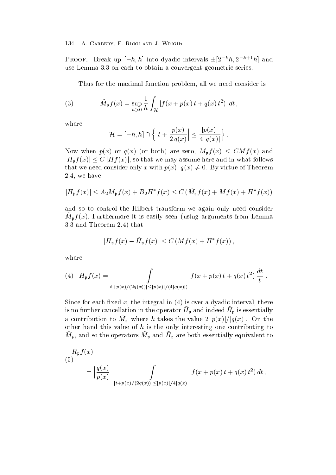**PROOF.** Break up  $[-h, h]$  into dyadic intervals  $\pm |2^{-\kappa}h, 2^{-\kappa+1}h|$  and use Lemma 3.3 on each to obtain a convergent geometric series.

Thus for the maximal function problem, all we need consider is

(3) 
$$
\tilde{M}_{\mathfrak{p}}f(x) = \sup_{h>0} \frac{1}{h} \int_{\mathcal{H}} |f(x+p(x) t + q(x) t^2)| dt,
$$

where

$$
\mathcal{H} = [-h,h] \cap \left\{\left|t+\frac{p(x)}{2\,q(x)}\right| \leq \frac{|p(x)|}{4\,|q(x)|}\right\}.
$$

Now when  $p(x)$  or  $q(x)$  (or both) are zero,  $M_{p} f(x) \leq CMf(x)$  and  $|H_{\mathfrak{p}} f(x)| \leq C |H f(x)|$ , so that we may assume here and in what follows that we need consider only x with  $p(x)$ ,  $q(x) \neq 0$ . By virtue of Theorem  $2.4$ , we have

$$
|H_{\mathfrak{p}}f(x)| \leq A_2M_{\mathfrak{p}}f(x) + B_2H^*f(x) \leq C\left(\tilde{M}_{\mathfrak{p}}f(x) + Mf(x) + H^*f(x)\right)
$$

and so to control the Hilbert transform we again only need consider  $m_{\mathfrak{b}}$  /  $\omega$ ). Furthermore it is easily seen (using arguments from Demina 3.3 and Theorem 2.4) that

$$
|H_{\mathfrak{p}}f(x) - \tilde{H}_{\mathfrak{p}}f(x)| \le C\left(Mf(x) + H^*f(x)\right),
$$

where

(4) 
$$
\tilde{H}_{\mathfrak{p}}f(x) = \int_{|t+p(x)/(2q(x))| \leq |p(x)|/(4|q(x)|)} f(x+p(x) t + q(x) t^2) \frac{dt}{t}
$$
.

 $\mathbf{A}$  the integral integral integral integral in  $\mathbf{A}$ is no further cancellation in the operator  $n_{\rm p}$  and indeed  $n_{\rm p}$  is essentially a contribution to  $M_{\mathfrak{p}}$  where h takes the value  $2|p(x)|/|q(x)|$ . On the other hand this value of  $h$  is the only interesting one contributing to  $m_p$ , and so the operators  $m_p$  and  $m_p$  are both essentially equivalent to

$$
(5)
$$
  
\n
$$
= \left| \frac{q(x)}{p(x)} \right| \int_{|t+p(x)/(2q(x))| \le |p(x)|/4|q(x)|} f(x+p(x) t + q(x) t^2) dt,
$$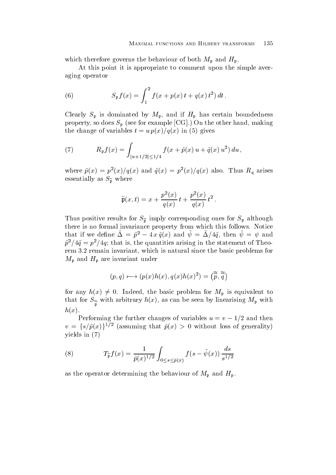which therefore governs the behaviour of both  $M_{\rm p}$  and  $H_{\rm p}$ .

At this point it is appropriate to comment upon the simple averaging operator

(6) 
$$
S_{\mathfrak{p}}f(x) = \int_{1}^{2} f(x + p(x) t + q(x) t^{2}) dt.
$$

Clearly Sp is dominated by Mp- and if Hp has certain boundedness property so does Sp see for example CG On the other hand making the change of variables the change of variables the change of  $\mathcal{L}$ 

(7) 
$$
R_{\mathfrak{p}}f(x) = \int_{|u+1/2| \leq 1/4} f(x + \tilde{p}(x) u + \tilde{q}(x) u^2) du,
$$

where  $p(x) = p(x)/q(x)$  and  $q(x) = p(x)/q(x)$  also. Thus  $R<sub>a</sub>$  arises essentially as  $S_{\tilde{\mathfrak{p}}}$  where

$$
\widetilde{\mathfrak{p}}(x,t)=x+\frac{p^2(x)}{q(x)}\,t+\frac{p^2(x)}{q(x)}\,t^2\,.
$$

Thus positive results for  $S_{\tilde{\mathfrak{n}}}$  imply corresponding ones for  $S_{\mathfrak{p}}$  although there is no formal invariance property from which this follows. Notice that if we define  $\Delta = p - 4x q(x)$  and  $\psi = \Delta/4q$ , then  $\psi = \psi$  and  $p$   $q$   $q$   $\equiv$   $p$   $q$   $q$ ; that is, the quantities arising in the statement of Theorem 3.2 remain invariant, which is natural since the basic problems for  $M_{\mathfrak{p}}$  and  $H_{\mathfrak{p}}$  are invariant under

$$
(p,q)\longmapsto (p(x)h(x),q(x)h(x)^2)=(\widetilde{\widetilde{p}},\widetilde{\widetilde{q}})
$$

for any  $h(x) \neq 0$ . Indeed, the basic problem for  $M_{\mathfrak{p}}$  is equivalent to  $\frac{p}{p}$  with arbitrary hy linearising  $\frac{p}{q}$  $h(x)$ .

I errorming the further changes of variables  $u = v = 1/2$  and then  $v = \{s/\tilde{p}(x)\}^{1/2}$  (assuming that  $\tilde{p}(x) > 0$  without loss of generality) yields in

(8) 
$$
T_{\tilde{\mathfrak{p}}} f(x) = \frac{1}{\tilde{p}(x)^{1/2}} \int_{0 \le s \le \tilde{p}(x)} f(s - \tilde{\psi}(x)) \frac{ds}{s^{1/2}}
$$

as the operator determining the behaviour of  $M_{\mathfrak{p}}$  and  $H_{\mathfrak{p}}$ .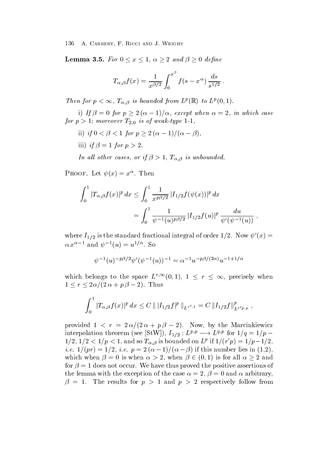**Lemma 3.5.** For  $0 \le x \le 1$ ,  $\alpha \ge 2$  and  $\beta \ge 0$  define

$$
T_{\alpha,\beta}f(x) = \frac{1}{x^{\beta/2}} \int_0^{x^{\beta}} f(s - x^{\alpha}) \frac{ds}{s^{1/2}}.
$$

Then for  $p < \infty$ ,  $I_{\alpha,\beta}$  is bounded from  $L^p(\mathbb{R})$  to  $L^p(0,1)$ .

i) If  $\beta = 0$  for  $p \geq 2(\alpha - 1)/\alpha$ , except when  $\alpha = 2$ , in which case for p moreover T is of weaktype

- ii) if  $0 < \beta < 1$  for  $p \geq 2(\alpha 1)/(\alpha \beta)$ ,
- iii) if  $\beta = 1$  for  $p > 2$ .

In an other cases, or if  $\rho > 1$ ,  $\Gamma_{\alpha,\beta}$  is unbounded.

 $\Gamma$  ROOF. Let  $\psi(x) = x$ . Then

$$
\int_0^1 |T_{\alpha,\beta}f(x)|^p dx \le \int_0^1 \frac{1}{x^{p\beta/2}} |I_{1/2}f(\psi(x))|^p dx
$$
  
= 
$$
\int_0^1 \frac{1}{\psi^{-1}(u)^{p\beta/2}} |I_{1/2}f(u)|^p \frac{du}{\psi'(\psi^{-1}(u))},
$$

where  $I_{1/2}$  is the standard fractional integral of order 1/2. Now  $\psi'(x) =$  $\alpha x^{\alpha-1}$  and  $\psi^{-1}(u) = u^{1/\alpha}$ . So

$$
\psi^{-1}(u)^{-p\beta/2}\psi'(\psi^{-1}(u))^{-1} = \alpha^{-1}u^{-p\beta/(2\alpha)}u^{-1+1/\alpha}
$$

which belongs to the space  $L^{r,\infty}(0,1)$ ,  $1 \leq r \leq \infty$ , precisely when  $1 \leq r \leq 2\alpha/(2\alpha+p\beta-2)$ . Thus

$$
\int_0^1 |T_{\alpha,\beta}f(x)|^p dx \leq C \| |I_{1/2}f|^p \|_{L^{r',1}} = C \|I_{1/2}f\|_{L^{r'p,p}}^p,
$$

provided  $1 \leq t = 2\alpha/(2\alpha + p)p = 2$ . Now, by the Marchingtonicz interpolation theorem (see  $\vert \text{StW} \vert$ ),  $I_{1/2}: L^{p,p} \longrightarrow L^{q,p}$  for  $1/q = 1/p - 1$  $1/2$ ,  $1/2 < 1/p < 1$ , and so  $T_{\alpha,\beta}$  is bounded on  $L^p$  if  $1/(r'p) = 1/p-1/2$ , *i.e.*  $1/(pt) = 1/2$ , *i.e.*  $p = 2(0 - 1)/(0 - p)$  if this number lies in  $(1,2)$ , which when  $\beta = 0$  is when  $\alpha > 2$ , when  $\beta \in (0,1)$  is for all  $\alpha \geq 2$  and for  $\beta = 1$  does not occur. We have thus proved the positive assertions of the lemma with the exception of the case  $\alpha = 2$ ,  $\beta = 0$  and  $\alpha$  arbitrary,  $\beta = 1$ . The results for  $p > 1$  and  $p > 2$  respectively follow from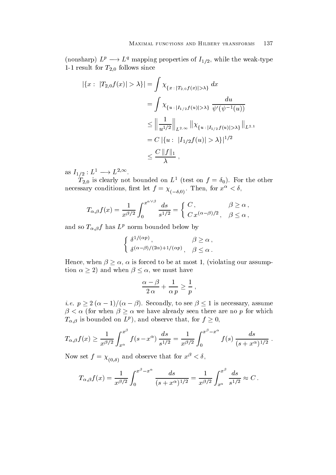(nonsharp)  $L^p \longrightarrow L^q$  mapping properties of  $I_{1/2}$ , while the weak-type  $\omega$ ,  $\omega$ 

$$
|\{x : |T_{2,0}f(x)| > \lambda\}| = \int \chi_{\{x : |T_{2,0}f(x)| > \lambda\}} dx
$$
  
= 
$$
\int \chi_{\{u : |I_{1/2}f(u)| > \lambda\}} \frac{du}{\psi'(\psi^{-1}(u))}
$$
  

$$
\leq \left\|\frac{1}{u^{1/2}}\right\|_{L^{2,\infty}} \left\|\chi_{\{u : |I_{1/2}f(u)| > \lambda\}}\right\|_{L^{2,1}}
$$
  
= 
$$
C \left|\{u : |I_{1/2}f(u)| > \lambda\}\right|^{1/2}
$$
  

$$
\leq \frac{C \left\|f\right\|_1}{\lambda},
$$

as  $I_{1/2}: L^1 \longrightarrow L^{2,\infty}.$ 

 $T_{2,0}$  is clearly not bounded on  $L$  - (test on  $f = o_0$ ). For the other necessary conditions, inst let  $f = \chi_{(-\delta,0)}$ . Then, for  $x > 0$ ,

$$
T_{\alpha,\beta}f(x) = \frac{1}{x^{\beta/2}} \int_0^{x^{\alpha \vee \beta}} \frac{ds}{s^{1/2}} = \begin{cases} C, & \beta \ge \alpha, \\ C x^{(\alpha-\beta)/2}, & \beta \le \alpha, \end{cases}
$$

and so  $T_{\alpha,\beta}f$  has  $L^p$  norm bounded below by

$$
\begin{cases} \delta^{1/(\alpha p)}, & \beta \ge \alpha ,\\ \delta^{(\alpha - \beta)/(2\alpha) + 1/(\alpha p)}, & \beta \le \alpha . \end{cases}
$$

Hence, when  $\beta \geq \alpha$ ,  $\alpha$  is forced to be at most 1, (violating our assumption  $\alpha \geq 2$ ) and when  $\beta \leq \alpha$ , we must have

$$
\frac{\alpha-\beta}{2\,\alpha}+\frac{1}{\alpha\,p}\geq \frac{1}{p}\;,
$$

-

*i.e.*  $p \geq 2(\alpha - 1)/(\alpha - \beta)$ . Secondly, to see  $\beta \leq 1$  is necessary, assume  $\beta < \alpha$  (for when  $\beta \geq \alpha$  we have already seen there are no p for which  $T_{\alpha,\beta}$  is bounded on  $L^p$ ), and observe that, for  $f \geq 0$ ,

$$
T_{\alpha,\beta}f(x) \ge \frac{1}{x^{\beta/2}} \int_{x^{\alpha}}^{x^{\beta}} f(s-x^{\alpha}) \frac{ds}{s^{1/2}} = \frac{1}{x^{\beta/2}} \int_{0}^{x^{\beta}-x^{\alpha}} f(s) \frac{ds}{(s+x^{\alpha})^{1/2}}.
$$

Now set  $f = \chi_{(0,\delta)}$  and observe that for  $x^2 < \theta$ ,

$$
T_{\alpha,\beta}f(x) = \frac{1}{x^{\beta/2}} \int_0^{x^{\beta}-x^{\alpha}} \frac{ds}{(s+x^{\alpha})^{1/2}} = \frac{1}{x^{\beta/2}} \int_{x^{\alpha}}^{x^{\beta}} \frac{ds}{s^{1/2}} \approx C.
$$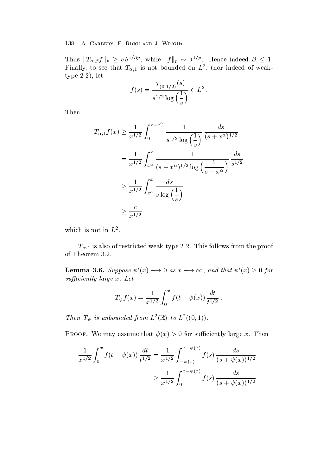Thus  $||T_{\alpha,\beta}f||_p \geq c \delta^{1/\beta p}$ , while  $||f||_p \sim \delta^{1/p}$ . Hence indeed  $\beta \leq 1$ . r many, to see that  $T_{\alpha,1}$  is not bounded on  $L$  , (nor indeed of weak- $\mathbb{R}^2$ type - letter - letter - letter - letter - letter - letter - letter - letter - letter - letter - letter - lett

$$
f(s) = \frac{\chi_{(0,1/2)}(s)}{s^{1/2} \log\left(\frac{1}{s}\right)} \in L^2.
$$

Then

$$
T_{\alpha,1}f(x) \ge \frac{1}{x^{1/2}} \int_0^{x-x^{\alpha}} \frac{1}{s^{1/2} \log\left(\frac{1}{s}\right)} \frac{ds}{(s+x^{\alpha})^{1/2}}
$$
  
=  $\frac{1}{x^{1/2}} \int_{x^{\alpha}}^x \frac{1}{(s-x^{\alpha})^{1/2} \log\left(\frac{1}{s-x^{\alpha}}\right)} \frac{ds}{s^{1/2}}$   
 $\ge \frac{1}{x^{1/2}} \int_{x^{\alpha}}^x \frac{ds}{s \log\left(\frac{1}{s}\right)}$   
 $\ge \frac{c}{x^{1/2}}$ 

which is not in  $L$ .

 $\mathbf{u}_1$  is also of restricted weak-from the proof restricted weak-from the proof restricted weak-from the proof restricted weak-from the proof restriction of  $\mathbf{u}_1$ of Theorem 3.2.

**Lemma 3.6.** Suppose  $\psi'(x) \rightarrow 0$  as  $x \rightarrow \infty$ , and that  $\psi'(x) \geq 0$  for such that is a set of the set of the set of the set of the set of the set of the set of the set of the set of

$$
T_{\psi} f(x) = \frac{1}{x^{1/2}} \int_0^x f(t - \psi(x)) \frac{dt}{t^{1/2}}.
$$

Then  $I_{\psi}$  is unbounded from L  $(\mathbb{R})$  to L  $((0,1))$ .

 $\mathcal P$  . The matrix large that  $\mathcal P$  is such that  $\mathcal P$  . Then the that  $\mathcal P$  is the such that  $\mathcal P$ 

$$
\frac{1}{x^{1/2}} \int_0^x f(t - \psi(x)) \frac{dt}{t^{1/2}} = \frac{1}{x^{1/2}} \int_{-\psi(x)}^{x - \psi(x)} f(s) \frac{ds}{(s + \psi(x))^{1/2}}
$$

$$
\geq \frac{1}{x^{1/2}} \int_0^{x - \psi(x)} f(s) \frac{ds}{(s + \psi(x))^{1/2}},
$$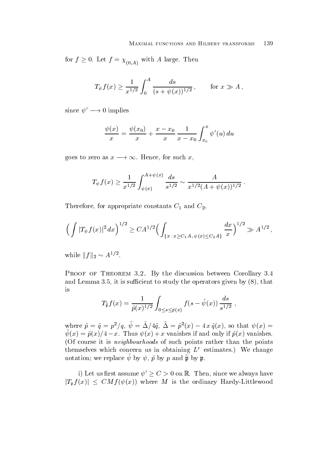for  $f \geq 0$ . Let  $f = \chi_{(0,A)}$  with A large. Then

$$
T_{\psi}f(x) \ge \frac{1}{x^{1/2}} \int_0^A \frac{ds}{(s+\psi(x))^{1/2}},
$$
 for  $x \gg A$ ,

since  $\psi' \longrightarrow 0$  implies

$$
\frac{\psi(x)}{x} = \frac{\psi(x_0)}{x} + \frac{x - x_0}{x} \frac{1}{x - x_0} \int_{x_0}^x \psi'(u) \, du
$$

goes to zero as  $x \longrightarrow \infty$ . Hence, for such x.

$$
T_{\psi}f(x) \ge \frac{1}{x^{1/2}} \int_{\psi(x)}^{A+\psi(x)} \frac{ds}{s^{1/2}} \sim \frac{A}{x^{1/2}(A+\psi(x))^{1/2}}.
$$

Therefore for a positive constants C-1 and C-20 and C-20 and C-20 and C-20 and C-20 and C-20 and C-20 and C-20

$$
\left(\int |T_{\psi}f(x)|^2 dx\right)^{1/2} \geq CA^{1/2} \Big(\int_{\{x\; : \; x\geq C_1A, \, \psi(x)\leq C_2A\}} \frac{dx}{x}\Big)^{1/2} \gg A^{1/2}\,,
$$

while  $||f||_2 \sim A^{1/2}$ .

Proof of Theorem -- By the discussion between Corollary and Lemma 3.5, it is sufficient to study the operators given by  $(8)$ , that is

$$
T_{\tilde{\mathfrak{p}}} f(x) = \frac{1}{\tilde{p}(x)^{1/2}} \int_{0 \le s \le \tilde{p}(x)} f(s - \tilde{\psi}(x)) \frac{ds}{s^{1/2}},
$$

where  $p = q = p / q$ ,  $\psi = \Delta/4q$ ,  $\Delta = p(x) - 4xq(x)$ , so that  $\psi(x) =$  $\psi(x) = \psi(x)/4 = x$ . Thus  $\psi(x) \pm x$  valifyles if and only if  $\rho(x)$  valifyles. Of course it is neighbourhoods of such points rather than the points themselves which concern us in obtaining  $L^r$  estimates.) We change notation; we replace  $\tilde{\psi}$  by  $\psi$ ,  $\tilde{p}$  by p and  $\tilde{\tilde{\mathfrak{p}}}$  by p.

i) Let us first assume  $\psi' \geq C > 0$  on R. Then, since we always have  $|T_{\mathfrak{p}} f(x)| \ \le \ CMf(\psi(x))$  where M is the ordinary Hardy-Littlewood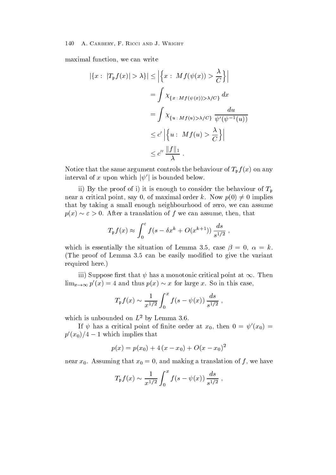maximal function, we can write

$$
|\{x : |T_{\mathfrak{p}}f(x)| > \lambda\}| \leq \left| \left\{ x : Mf(\psi(x)) > \frac{\lambda}{C} \right\} \right|
$$
  
=  $\int \chi_{\{x : Mf(\psi(x)) > \lambda/C\}} dx$   
=  $\int \chi_{\{u : Mf(u) > \lambda/C\}} \frac{du}{\psi'(\psi^{-1}(u))}$   
 $\leq c' \left| \left\{ u : Mf(u) > \frac{\lambda}{C} \right\} \right|$   
 $\leq c'' \frac{\|f\|_1}{\lambda}.$ 

Notice that the same argument controls the behaviour of  $T_p f(x)$  on any interval of x upon which  $|\psi'|$  is bounded below.

ii) By the proof of i) it is enough to consider the behaviour of  $T_p$ near a critical point, say 0, of maximal order k. Now  $p(0) \neq 0$  implies that by taking a small enough neighbourhood of zero, we can assume  $p(x) \sim \varepsilon > 0$ . After a translation of f we can assume, then, that

$$
T_{\mathfrak{p}}f(x) \approx \int_0^{\varepsilon} f(s - \delta x^k + O(x^{k+1})) \frac{ds}{s^{1/2}},
$$

which is essentially the situation of Lemma 3.5, case  $\beta = 0$ ,  $\alpha = k$ . (The proof of Lemma  $3.5$  can be easily modified to give the variant required here

iii) Suppose first that  $\psi$  has a monotonic critical point at  $\infty$ . Then  $\lim_{x\to\infty} p'(x) = 4$  and thus  $p(x) \sim x$  for large x. So in this case,

$$
T_{\mathfrak{p}}f(x) \sim \frac{1}{x^{1/2}} \int_0^x f(s - \psi(x)) \frac{ds}{s^{1/2}}
$$
,

which is unbounded on  $L^2$  by Lemma 3.6.

If  $\psi$  has a critical point of finite order at  $x_0$ , then  $0 = \psi'(x_0) =$  $p'(x_0)/4-1$  which implies that

$$
p(x) = p(x_0) + 4(x - x_0) + O(x - x_0)^2
$$

near  $x_0$ . Assuming that  $x_0 = 0$ , and making a translation of f, we have

$$
T_{\mathfrak{p}}f(x) \sim \frac{1}{x^{1/2}} \int_0^x f(s - \psi(x)) \frac{ds}{s^{1/2}}
$$
,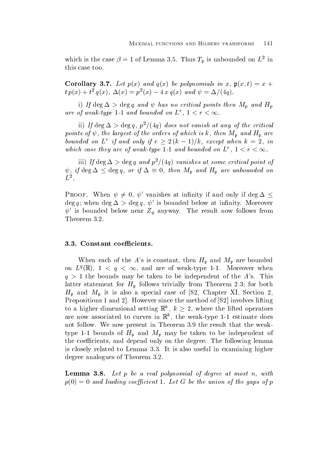which is the case  $\rho = 1$  of Lemma 5.5. Thus  $T_p$  is unbounded on L in this case too

 $\mathcal{L} = \mathcal{L} = \mathcal{L} = \mathcal{L}$  . The polynomials in and  $\mathcal{L} = \{ \mathcal{L} \mid \mathcal{L} = \mathcal{L} \}$  , where  $\mathcal{L} = \{ \mathcal{L} \mid \mathcal{L} = \mathcal{L} \}$  $t p(x) + t q(x), \Delta(x) \equiv p(x) - 4 x q(x)$  and  $\psi \equiv \Delta/(4q)$ .

i) If deg  $\Delta >$  deg q and  $\psi$  has no critical points then  $M_p$  and  $H_p$ are of weak-type 1-1 and bounded on  $L_1$ ,  $1 \leq r \leq \infty$ .

ii) If  $\deg \Delta > \deg q$ , p /(4q) aves not vanish at any of the critical points of  $\varphi$ , the largest of the orders of which is k, then  $m_p$  and  $m_p$  are bounded on L<sup>r</sup> if and only if  $r \geq 2(k-1)/k$ , except when  $k = 2$ , in which case they are of weak-type 1-1 and bounded on L  $r$  ,  $1 < r < \infty$ .

iii) If  $\deg \Delta > \deg q$  and p  $/(4q)$  vanishes at some critical point of  $\psi$ , if deg  $\Delta \leq$  deg q, or if  $\Delta \equiv 0$ , then  $M_{\mathfrak{p}}$  and  $H_{\mathfrak{p}}$  are unbounded on  $L^2$ .

PROOF. When  $\psi \neq 0$ ,  $\psi'$  vanishes at infinity if and only if  $\deg \Delta \leq$ deg q; when deg  $\Delta > \deg q$ ,  $\psi'$  is bounded below at infinity. Moreover  $\psi'$  is bounded below near  $Z_q$  anyway. The result now follows from Theorem 3.2.

When each of the A's is constant, then  $H_p$  and  $M_p$  are bounded on  $L^q(\mathbb{R}),$   $1 < q < \infty$ , and are of weak-type 1-1. Moreover when  $q > 1$  the bounds may be taken to be independent of the A's. This latter statement for  $H_p$  follows trivially from Theorem 2.3; for both  $H_{\mathfrak{p}}$  and  $M_{\mathfrak{p}}$  it is also a special case of [S2, Chapter XI, Section 2, Propositions and However since the method of S involves lifting to a higher dimensional setting  $\mathbb{R}^k$ ,  $k \geq 2$ , where the lifted operators are now associated to curves in  $\mathbb R$  , the weak-type 1-1 estimate does not follow. We now present in Theorem 3.9 the result that the weaktype - bounds of Hp and Mp may be taken to be independent of the coefficients, and depend only on the degree. The following lemma is closely related to Lemma 3.3. It is also useful in examining higher degree analogues of Theorem 3.2.

**Lemma 3.8.** Let  $p$  be a real polynomial of degree at most  $n$ , with p and leading the union of the union of the union of the gaps of p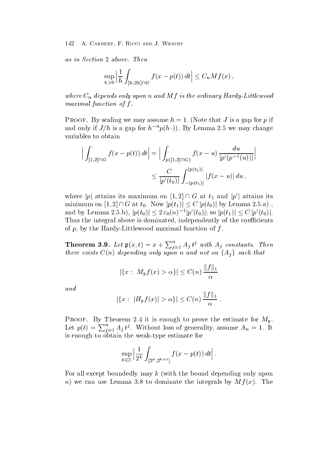as in Section . The Section 1996 and the Section 1997 and the Section 1997 and the Section 1997 and the Section 1997

$$
\sup_{h>0}\left|\frac{1}{h}\int_{[h,2h]\cap G}f(x-p(t))\,dt\right|\leq C_nMf(x)\,,
$$

where  $C_n$  aepenas only apon n and  $M$  f is the ordinary Hardy-Littlewood maximal function of function of function of function  $\mathcal{L}$ 

Protecting we may assume that it is a gap for the state  $\rho$  is a gap for p in and only if  $J/h$  is a gap for  $h^{-n}p(h \cdot)$ . By Lemma 2.5 we may change variables to obtain

$$
\left| \int_{[1,2]\cap G} f(x - p(t)) dt \right| = \left| \int_{p([1,2]\cap G)} f(x - u) \frac{du}{|p'(p^{-1}(u))|} \right|
$$
  

$$
\leq \frac{C}{|p'(t_0)|} \int_{-|p(t_1)|}^{|p(t_1)|} |f(x - u)| du,
$$

where |p| attains its maximum on  $[1,2] \cap G$  at  $t_1$  and  $|p'|$  attains its minimum on  $[1,2] \cap G$  at  $t_0$ . Now  $|p(t_1)| \leq C |p(t_0)|$  by Lemma 2.5.a), and by Lemma 2.5.b),  $|p(t_0)| \leq 2\varepsilon_0(n)^{-1}|p'(t_0)|$ ; so  $|p(t_1)| \leq C |p'(t_0)|$ . Thus the integral above is dominated, independently of the coefficients of p by the Hardy-Harden of the Hardward function of the property of the function of  $\mu$ 

**Theorem 3.9.** Let  $\mathfrak{p}(x,t) = x + \sum_{j=1}^{n} A_j t^j$  with  $A_j$  constants. Then there exists  $C(n)$  depending only upon n and not on  $\{A_j\}$  such that

$$
|\{x:\ M_{\mathfrak{p}}f(x) > \alpha\}| \leq C(n) \frac{\|f\|_1}{\alpha}
$$

and

$$
|\{x:\ |H_{\mathfrak{p}}f(x)| > \alpha\}| \leq C(n) \frac{\|f\|_1}{\alpha}.
$$

Proof- By Theorem it is enough to prove the estimate for Mp Let  $p(t) = \sum_{j=1}^{n} A_j t^j$ . Without loss of generality, assume  $A_n = 1$ . It is enough to obtain the weak-type estimate for

$$
\sup_{k\in\mathbb{Z}}\left|\frac{1}{2^k}\int_{[2^k,2^{k+1}]}f(x-p(t))\,dt\right|.
$$

For all except boundedly may  $k$  (with the bound depending only upon n) we can use Lemma 3.8 to dominate the integrals by  $M f(x)$ . The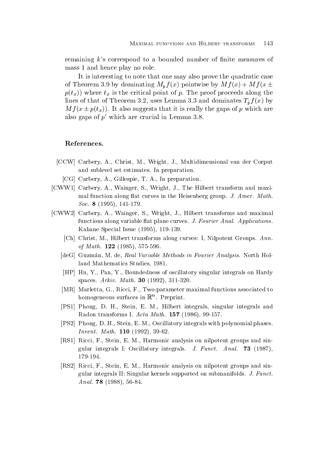remaining  $k$ 's correspond to a bounded number of finite measures of mass 1 and hence play no role.

It is interesting to note that one may also prove the quadratic case of Theorem 3.9 by dominating  $M_{p} f(x)$  pointwise by  $M f(x) + M f(x \pm$  $p(t_x)$  where  $t_x$  is the critical point of p. The proof proceeds along the lines of that of Theorem 3.2, uses Lemma 3.3 and dominates  $T_{\tilde{\mathfrak{p}}} f(x)$  by  $M f(x \pm p(t_x))$ . It also suggests that it is really the gaps of p which are also gaps of  $p'$  which are crucial in Lemma 3.8.

# References

- [CCW] Carbery, A., Christ, M., Wright, J., Multidimensional van der Corput and sublevel set estimates. In preparation.
	- [CG] Carbery, A., Gillespie, T. A., In preparation.
- [CWW1] Carbery, A., Wainger, S., Wright, J., The Hilbert transform and maximal function along at curves in the Heisenberg group J- Amer- Math-Soc- 
 -
- [CWW2] Carbery, A., Wainger, S., Wright, J., Hilbert transforms and maximal functions along variable at plane curves J- Fourier Anal- Applications-Kahane Special Issue (1995), 119-139
	- [Ch] Christ, M., Hilbert transforms along curves: I, Nilpotent Groups. Ann. of  $M$  and  $M$  and  $M$  and  $M$  and  $M$  and  $M$  and  $M$  and  $M$  and  $M$  and  $M$  and  $M$  and  $M$  and  $M$  and  $M$  and  $M$  and  $M$  and  $M$  and  $M$  and  $M$  and  $M$  and  $M$  and  $M$  and  $M$  and  $M$  and  $M$  and  $M$  and  $M$  and  $M$
	- de Guamana, and well also in fourier and discussed in Fourier Analysis- also analysis- and the same land Mathematics Studies, 1981.
	- [HP] Hu, Y., Pan, Y., Boundedness of oscillatory singular integrals on Hardy spaces are all the contract of the contract of the contract of the contract of the contract of the contract of
	- [MR] Marletta, G., Ricci, F., Two-parameter maximal functions associated to nomogeneous surfaces in  $\mathbb R$  . Preprint.
	- [PS1] Phong, D. H., Stein, E. M., Hilbert integrals, singular integrals and Radon transforms I Acta Math- - -
	- [PS2] Phong, D. H., Stein, E. M., Oscillatory integrals with polynomial phases. Inventory and the contract of the contract of the contract of the contract of the contract of the contract of
	- [RS1] Ricci, F., Stein, E. M., Harmonic analysis on nilpotent groups and singuidar integrals in ordination, integrals of material contact to function, and
	- [RS2] Ricci, F., Stein, E. M., Harmonic analysis on nilpotent groups and singular integrals integrals integrals supported on submanifolds J- a military Anal-